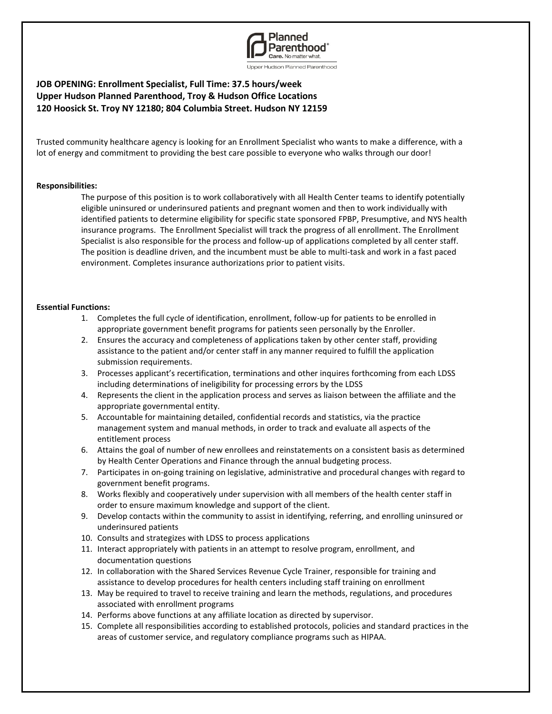

# **JOB OPENING: Enrollment Specialist, Full Time: 37.5 hours/week Upper Hudson Planned Parenthood, Troy & Hudson Office Locations 120 Hoosick St. Troy NY 12180; 804 Columbia Street. Hudson NY 12159**

Trusted community healthcare agency is looking for an Enrollment Specialist who wants to make a difference, with a lot of energy and commitment to providing the best care possible to everyone who walks through our door!

## **Responsibilities:**

The purpose of this position is to work collaboratively with all Health Center teams to identify potentially eligible uninsured or underinsured patients and pregnant women and then to work individually with identified patients to determine eligibility for specific state sponsored FPBP, Presumptive, and NYS health insurance programs. The Enrollment Specialist will track the progress of all enrollment. The Enrollment Specialist is also responsible for the process and follow-up of applications completed by all center staff. The position is deadline driven, and the incumbent must be able to multi-task and work in a fast paced environment. Completes insurance authorizations prior to patient visits.

#### **Essential Functions:**

- 1. Completes the full cycle of identification, enrollment, follow-up for patients to be enrolled in appropriate government benefit programs for patients seen personally by the Enroller.
- 2. Ensures the accuracy and completeness of applications taken by other center staff, providing assistance to the patient and/or center staff in any manner required to fulfill the application submission requirements.
- 3. Processes applicant's recertification, terminations and other inquires forthcoming from each LDSS including determinations of ineligibility for processing errors by the LDSS
- 4. Represents the client in the application process and serves as liaison between the affiliate and the appropriate governmental entity.
- 5. Accountable for maintaining detailed, confidential records and statistics, via the practice management system and manual methods, in order to track and evaluate all aspects of the entitlement process
- 6. Attains the goal of number of new enrollees and reinstatements on a consistent basis as determined by Health Center Operations and Finance through the annual budgeting process.
- 7. Participates in on-going training on legislative, administrative and procedural changes with regard to government benefit programs.
- 8. Works flexibly and cooperatively under supervision with all members of the health center staff in order to ensure maximum knowledge and support of the client.
- 9. Develop contacts within the community to assist in identifying, referring, and enrolling uninsured or underinsured patients
- 10. Consults and strategizes with LDSS to process applications
- 11. Interact appropriately with patients in an attempt to resolve program, enrollment, and documentation questions
- 12. In collaboration with the Shared Services Revenue Cycle Trainer, responsible for training and assistance to develop procedures for health centers including staff training on enrollment
- 13. May be required to travel to receive training and learn the methods, regulations, and procedures associated with enrollment programs
- 14. Performs above functions at any affiliate location as directed by supervisor.
- 15. Complete all responsibilities according to established protocols, policies and standard practices in the areas of customer service, and regulatory compliance programs such as HIPAA.